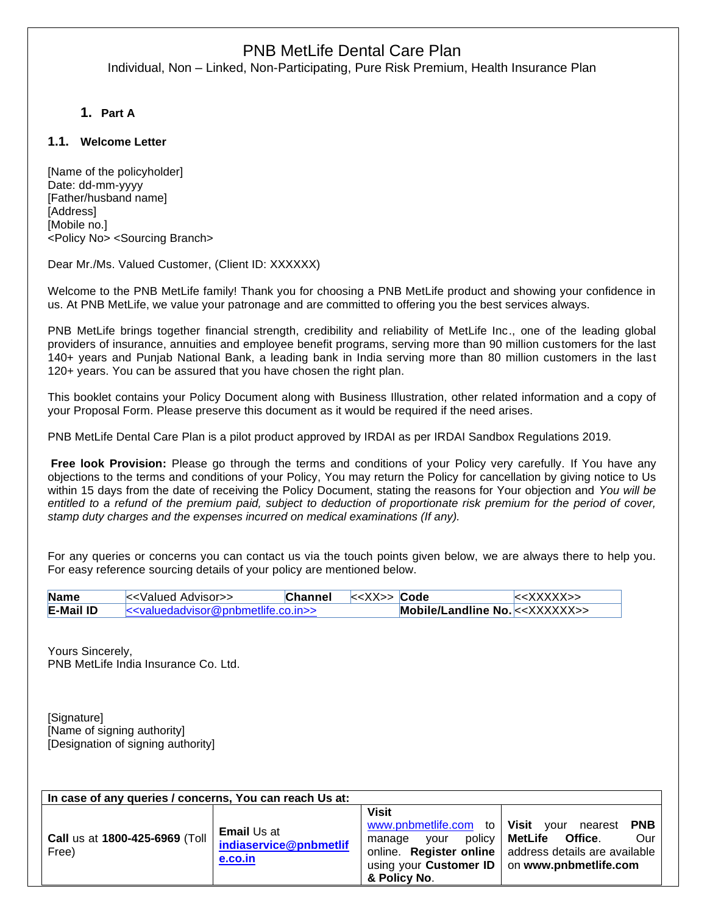Individual, Non – Linked, Non-Participating, Pure Risk Premium, Health Insurance Plan

**1. Part A**

## **1.1. Welcome Letter**

[Name of the policyholder] Date: dd-mm-yyyy [Father/husband name] [Address] [Mobile no.] <Policy No> <Sourcing Branch>

Dear Mr./Ms. Valued Customer, (Client ID: XXXXXX)

Welcome to the PNB MetLife family! Thank you for choosing a PNB MetLife product and showing your confidence in us. At PNB MetLife, we value your patronage and are committed to offering you the best services always.

PNB MetLife brings together financial strength, credibility and reliability of MetLife Inc., one of the leading global providers of insurance, annuities and employee benefit programs, serving more than 90 million customers for the last 140+ years and Punjab National Bank, a leading bank in India serving more than 80 million customers in the last 120+ years. You can be assured that you have chosen the right plan.

This booklet contains your Policy Document along with Business Illustration, other related information and a copy of your Proposal Form. Please preserve this document as it would be required if the need arises.

PNB MetLife Dental Care Plan is a pilot product approved by IRDAI as per IRDAI Sandbox Regulations 2019.

**Free look Provision:** Please go through the terms and conditions of your Policy very carefully. If You have any objections to the terms and conditions of your Policy, You may return the Policy for cancellation by giving notice to Us within 15 days from the date of receiving the Policy Document, stating the reasons for Your objection and *You will be entitled to a refund of the premium paid, subject to deduction of proportionate risk premium for the period of cover, stamp duty charges and the expenses incurred on medical examinations (If any).*

For any queries or concerns you can contact us via the touch points given below, we are always there to help you. For easy reference sourcing details of your policy are mentioned below.

| Name             | k - Valued Advisor                                                      | <b>Channel</b> | $\lt$ < XX>> Code |                                    | $\le$ XXXXX>> |
|------------------|-------------------------------------------------------------------------|----------------|-------------------|------------------------------------|---------------|
| <b>E-Mail ID</b> | k <valuedadvisor@pnbmetlife.co.in>&gt;</valuedadvisor@pnbmetlife.co.in> |                |                   | Mobile/Landline No. $\lt$ XXXXXX>> |               |

Yours Sincerely, PNB MetLife India Insurance Co. Ltd.

[Signature] [Name of signing authority] [Designation of signing authority]

| In case of any queries / concerns, You can reach Us at: |                                                         |                                                |                                                                                                                                                                                                      |  |  |  |  |
|---------------------------------------------------------|---------------------------------------------------------|------------------------------------------------|------------------------------------------------------------------------------------------------------------------------------------------------------------------------------------------------------|--|--|--|--|
| Call us at 1800-425-6969 (Toll<br>Free)                 | <b>Email</b> Us at<br>indiaservice@pnbmetlif<br>e.co.in | <b>Visit</b><br>vour<br>manage<br>& Policy No. | www.pnbmetlife.com to   Visit your nearest PNB<br>policy   MetLife Office.<br>Our<br>online. Register online   address details are available<br>using your Customer ID $\vert$ on www.pnbmetlife.com |  |  |  |  |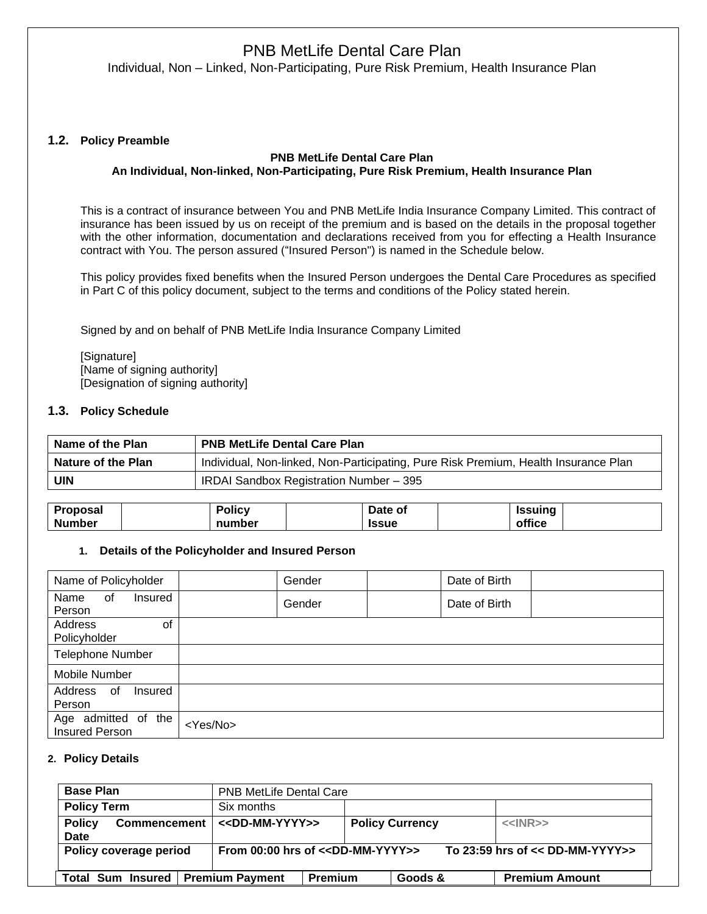Individual, Non – Linked, Non-Participating, Pure Risk Premium, Health Insurance Plan

### **1.2. Policy Preamble**

### **PNB MetLife Dental Care Plan An Individual, Non-linked, Non-Participating, Pure Risk Premium, Health Insurance Plan**

This is a contract of insurance between You and PNB MetLife India Insurance Company Limited. This contract of insurance has been issued by us on receipt of the premium and is based on the details in the proposal together with the other information, documentation and declarations received from you for effecting a Health Insurance contract with You. The person assured ("Insured Person") is named in the Schedule below.

This policy provides fixed benefits when the Insured Person undergoes the Dental Care Procedures as specified in Part C of this policy document, subject to the terms and conditions of the Policy stated herein.

Signed by and on behalf of PNB MetLife India Insurance Company Limited

[Signature] [Name of signing authority] [Designation of signing authority]

### **1.3. Policy Schedule**

| Name of the Plan          | <b>PNB MetLife Dental Care Plan</b>                                                 |
|---------------------------|-------------------------------------------------------------------------------------|
| <b>Nature of the Plan</b> | Individual, Non-linked, Non-Participating, Pure Risk Premium, Health Insurance Plan |
| <b>UIN</b>                | IRDAI Sandbox Registration Number - 395                                             |

| <b>Proposal</b> | . .<br>Policv | Date of      | <b>Issuing</b> |  |
|-----------------|---------------|--------------|----------------|--|
| <b>Number</b>   | number        | <b>Issue</b> | office         |  |

### **1. Details of the Policyholder and Insured Person**

| Name of Policyholder                         | Gender            | Date of Birth |
|----------------------------------------------|-------------------|---------------|
| Name<br>0f<br>Insured<br>Person              | Gender            | Date of Birth |
| Address<br>οf<br>Policyholder                |                   |               |
| <b>Telephone Number</b>                      |                   |               |
| Mobile Number                                |                   |               |
| Address<br>0f<br>Insured<br>Person           |                   |               |
| Age admitted of the<br><b>Insured Person</b> | <yes no=""></yes> |               |

### **2. Policy Details**

| <b>Base Plan</b>                                    | <b>PNB MetLife Dental Care</b>           |                        |                                   |  |  |
|-----------------------------------------------------|------------------------------------------|------------------------|-----------------------------------|--|--|
| <b>Policy Term</b>                                  | Six months                               |                        |                                   |  |  |
| <b>Policy</b><br><b>Commencement</b><br><b>Date</b> | < <dd-mm-yyyy>&gt;</dd-mm-yyyy>          | <b>Policy Currency</b> | $<$ INR>>                         |  |  |
| Policy coverage period                              | From $00:00$ hrs of $<<$ DD-MM-YYYY $>>$ |                        | To 23:59 hrs of $<<$ DD-MM-YYYY>> |  |  |
| Total Sum Insured   Premium Payment                 | <b>Premium</b>                           | Goods &                | <b>Premium Amount</b>             |  |  |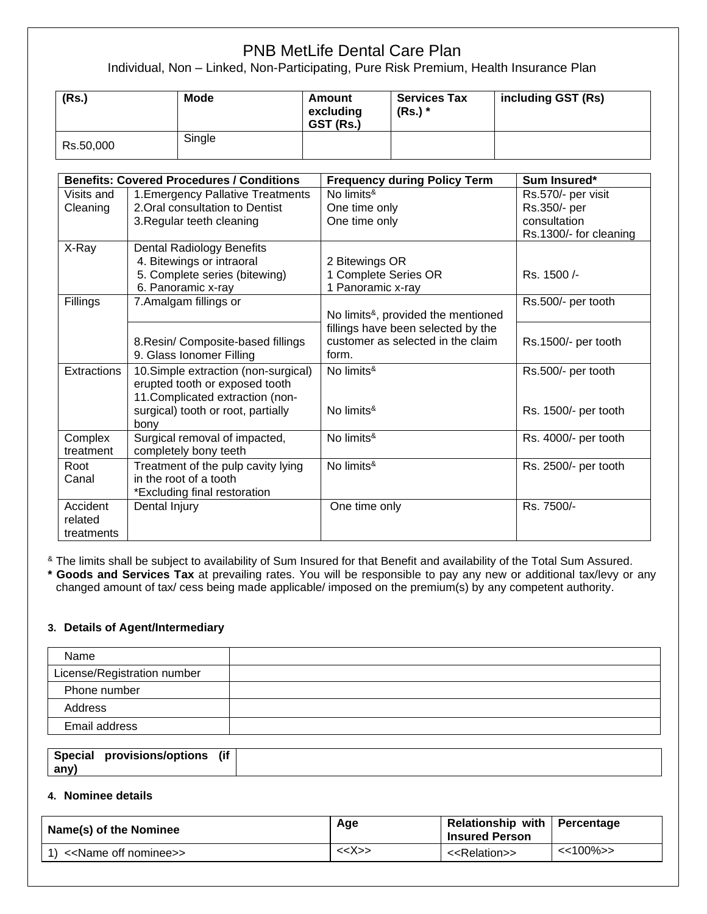Individual, Non – Linked, Non-Participating, Pure Risk Premium, Health Insurance Plan

| (Rs.)     | <b>Mode</b> | Amount<br>excluding<br>GST (Rs.) | <b>Services Tax</b><br>$(Rs.)$ * | including GST (Rs) |
|-----------|-------------|----------------------------------|----------------------------------|--------------------|
| Rs.50,000 | Single      |                                  |                                  |                    |

|                    | <b>Benefits: Covered Procedures / Conditions</b> | <b>Frequency during Policy Term</b>                 | Sum Insured*           |
|--------------------|--------------------------------------------------|-----------------------------------------------------|------------------------|
| Visits and         | 1. Emergency Pallative Treatments                | No limits <sup>&amp;</sup>                          | Rs.570/- per visit     |
| Cleaning           | 2. Oral consultation to Dentist                  | One time only                                       | Rs.350/- per           |
|                    | 3. Regular teeth cleaning                        | One time only                                       | consultation           |
|                    |                                                  |                                                     | Rs.1300/- for cleaning |
| X-Ray              | <b>Dental Radiology Benefits</b>                 |                                                     |                        |
|                    | 4. Bitewings or intraoral                        | 2 Bitewings OR                                      |                        |
|                    | 5. Complete series (bitewing)                    | 1 Complete Series OR                                | Rs. 1500/-             |
|                    | 6. Panoramic x-ray                               | 1 Panoramic x-ray                                   |                        |
| Fillings           | 7.Amalgam fillings or                            |                                                     | Rs.500/- per tooth     |
|                    |                                                  | No limits <sup>&amp;</sup> , provided the mentioned |                        |
|                    |                                                  | fillings have been selected by the                  |                        |
|                    | 8. Resin/ Composite-based fillings               | customer as selected in the claim                   | Rs.1500/- per tooth    |
|                    | 9. Glass Ionomer Filling                         | form.                                               |                        |
| <b>Extractions</b> | 10. Simple extraction (non-surgical)             | No limits <sup>&amp;</sup>                          | Rs.500/- per tooth     |
|                    | erupted tooth or exposed tooth                   |                                                     |                        |
|                    | 11. Complicated extraction (non-                 |                                                     |                        |
|                    | surgical) tooth or root, partially               | No limits <sup>&amp;</sup>                          | Rs. 1500/- per tooth   |
|                    | bony                                             |                                                     |                        |
| Complex            | Surgical removal of impacted,                    | No limits <sup>&amp;</sup>                          | Rs. 4000/- per tooth   |
| treatment          | completely bony teeth                            |                                                     |                        |
| Root               | Treatment of the pulp cavity lying               | No limits <sup>&amp;</sup>                          | Rs. 2500/- per tooth   |
| Canal              | in the root of a tooth                           |                                                     |                        |
|                    | *Excluding final restoration                     |                                                     |                        |
| Accident           | Dental Injury                                    | One time only                                       | Rs. 7500/-             |
| related            |                                                  |                                                     |                        |
| treatments         |                                                  |                                                     |                        |

<sup>&</sup> The limits shall be subject to availability of Sum Insured for that Benefit and availability of the Total Sum Assured.

**\* Goods and Services Tax** at prevailing rates. You will be responsible to pay any new or additional tax/levy or any changed amount of tax/ cess being made applicable/ imposed on the premium(s) by any competent authority.

## **3. Details of Agent/Intermediary**

| Name                        |  |
|-----------------------------|--|
| License/Registration number |  |
| Phone number                |  |
| Address                     |  |
| Email address               |  |

| <b>Special</b> | provisions/options | .<br>(It |  |
|----------------|--------------------|----------|--|
| anv)           |                    |          |  |

## **4. Nominee details**

| Name(s) of the Nominee                   | Age           | Relationship with   Percentage<br><b>Insured Person</b> |               |
|------------------------------------------|---------------|---------------------------------------------------------|---------------|
| 1) < <name nominee="" off="">&gt;</name> | < <x>&gt;</x> | < <relation>&gt;</relation>                             | $\le$ 100% >> |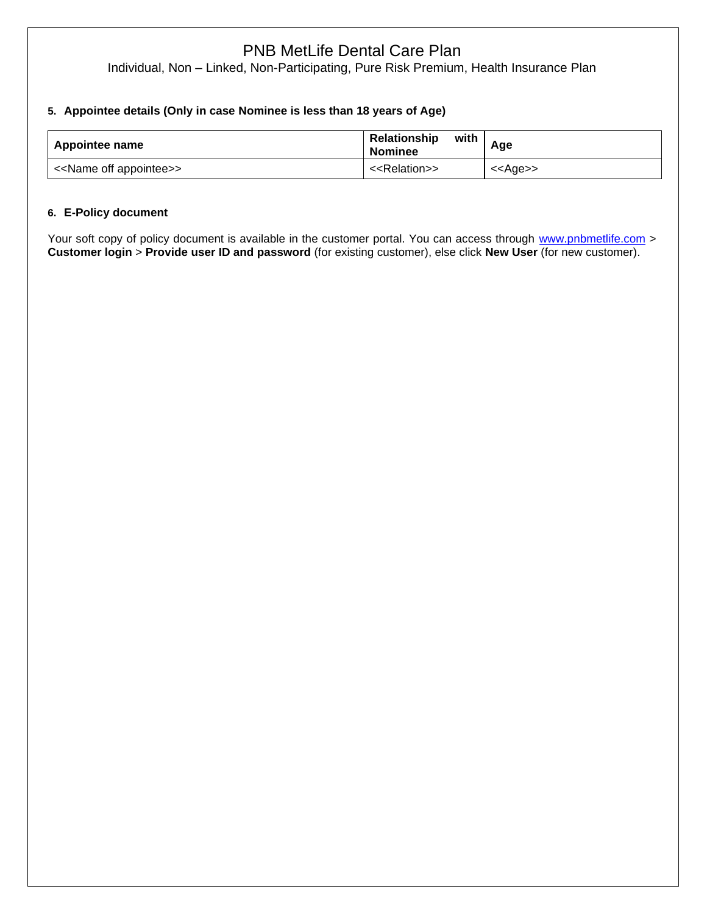Individual, Non – Linked, Non-Participating, Pure Risk Premium, Health Insurance Plan

## **5. Appointee details (Only in case Nominee is less than 18 years of Age)**

| Appointee name                          | with<br>Relationship<br><b>Nominee</b> | Age               |
|-----------------------------------------|----------------------------------------|-------------------|
| < <name appointee="" off="">&gt;</name> | < <relation>&gt;</relation>            | < <age>&gt;</age> |

## **6. E-Policy document**

Your soft copy of policy document is available in the customer portal. You can access through [www.pnbmetlife.com](http://www.pnbmetlife.com/) > **Customer login** > **Provide user ID and password** (for existing customer), else click **New User** (for new customer).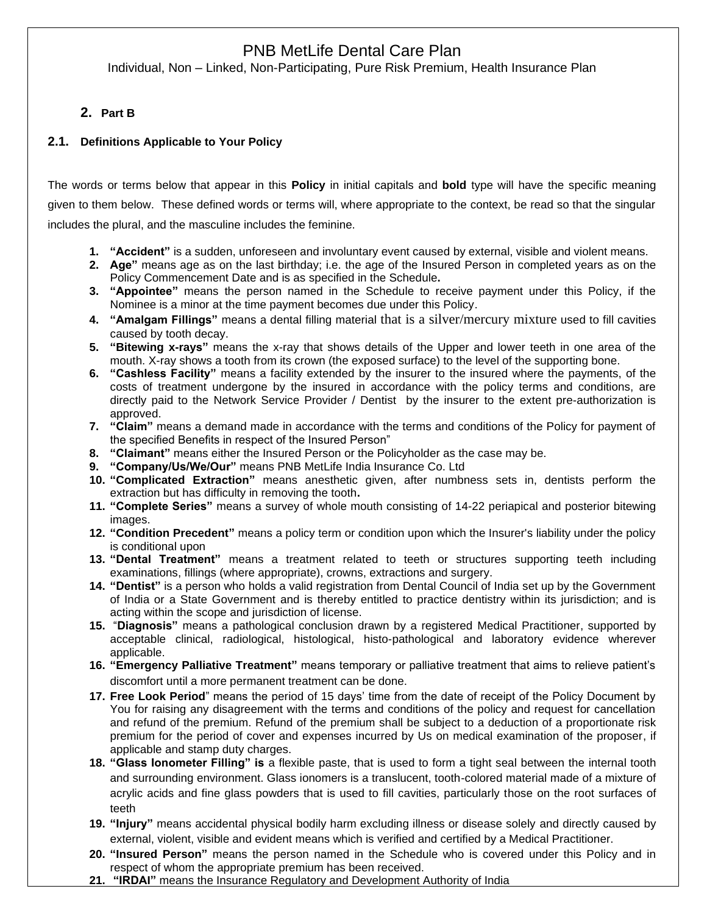Individual, Non – Linked, Non-Participating, Pure Risk Premium, Health Insurance Plan

# **2. Part B**

## **2.1. Definitions Applicable to Your Policy**

The words or terms below that appear in this **Policy** in initial capitals and **bold** type will have the specific meaning given to them below. These defined words or terms will, where appropriate to the context, be read so that the singular includes the plural, and the masculine includes the feminine.

- **1. "Accident"** is a sudden, unforeseen and involuntary event caused by external, visible and violent means.
- **2. Age"** means age as on the last birthday; i.e. the age of the Insured Person in completed years as on the Policy Commencement Date and is as specified in the Schedule**.**
- **3. "Appointee"** means the person named in the Schedule to receive payment under this Policy, if the Nominee is a minor at the time payment becomes due under this Policy.
- **4. "Amalgam Fillings"** means a dental filling material that is a silver/mercury mixture used to fill cavities caused by tooth decay.
- **5. "Bitewing x-rays"** means the x-ray that shows details of the Upper and lower teeth in one area of the mouth. X-ray shows a tooth from its crown (the exposed surface) to the level of the supporting bone.
- **6. "Cashless Facility"** means a facility extended by the insurer to the insured where the payments, of the costs of treatment undergone by the insured in accordance with the policy terms and conditions, are directly paid to the Network Service Provider / Dentist by the insurer to the extent pre-authorization is approved.
- **7. "Claim"** means a demand made in accordance with the terms and conditions of the Policy for payment of the specified Benefits in respect of the Insured Person"
- **8. "Claimant"** means either the Insured Person or the Policyholder as the case may be.
- **9. "Company/Us/We/Our"** means PNB MetLife India Insurance Co. Ltd
- **10. "Complicated Extraction"** means anesthetic given, after numbness sets in, dentists perform the extraction but has difficulty in removing the tooth**.**
- **11. "Complete Series"** means a survey of whole mouth consisting of 14-22 periapical and posterior bitewing images.
- **12. "Condition Precedent"** means a policy term or condition upon which the Insurer's liability under the policy is conditional upon
- **13. "Dental Treatment"** means a treatment related to teeth or structures supporting teeth including examinations, fillings (where appropriate), crowns, extractions and surgery.
- **14. "Dentist"** is a person who holds a valid registration from Dental Council of India set up by the Government of India or a State Government and is thereby entitled to practice dentistry within its jurisdiction; and is acting within the scope and jurisdiction of license.
- **15.** "**Diagnosis"** means a pathological conclusion drawn by a registered Medical Practitioner, supported by acceptable clinical, radiological, histological, histo-pathological and laboratory evidence wherever applicable.
- **16. "Emergency Palliative Treatment"** means temporary or palliative treatment that aims to relieve patient's discomfort until a more permanent treatment can be done.
- **17. Free Look Period**" means the period of 15 days' time from the date of receipt of the Policy Document by You for raising any disagreement with the terms and conditions of the policy and request for cancellation and refund of the premium. Refund of the premium shall be subject to a deduction of a proportionate risk premium for the period of cover and expenses incurred by Us on medical examination of the proposer, if applicable and stamp duty charges.
- **18. "Glass Ionometer Filling" is** a flexible paste, that is used to form a tight seal between the internal tooth and surrounding environment. Glass ionomers is a translucent, tooth-colored material made of a mixture of acrylic acids and fine glass powders that is used to fill cavities, particularly those on the root surfaces of teeth
- **19. "Injury"** means accidental physical bodily harm excluding illness or disease solely and directly caused by external, violent, visible and evident means which is verified and certified by a Medical Practitioner.
- **20. "Insured Person"** means the person named in the Schedule who is covered under this Policy and in respect of whom the appropriate premium has been received.
- **21. "IRDAI"** means the Insurance Regulatory and Development Authority of India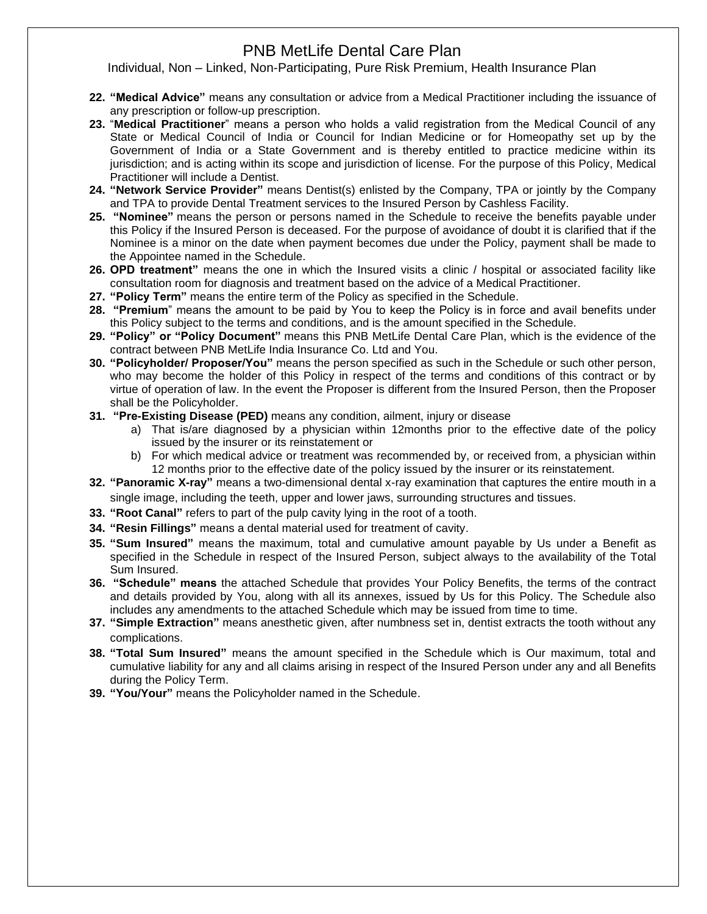- **22. "Medical Advice"** means any consultation or advice from a Medical Practitioner including the issuance of any prescription or follow-up prescription.
- **23.** "**Medical Practitioner**" means a person who holds a valid registration from the Medical Council of any State or Medical Council of India or Council for Indian Medicine or for Homeopathy set up by the Government of India or a State Government and is thereby entitled to practice medicine within its jurisdiction; and is acting within its scope and jurisdiction of license. For the purpose of this Policy, Medical Practitioner will include a Dentist.
- **24. "Network Service Provider"** means Dentist(s) enlisted by the Company, TPA or jointly by the Company and TPA to provide Dental Treatment services to the Insured Person by Cashless Facility.
- **25. "Nominee"** means the person or persons named in the Schedule to receive the benefits payable under this Policy if the Insured Person is deceased. For the purpose of avoidance of doubt it is clarified that if the Nominee is a minor on the date when payment becomes due under the Policy, payment shall be made to the Appointee named in the Schedule.
- **26. OPD treatment"** means the one in which the Insured visits a clinic / hospital or associated facility like consultation room for diagnosis and treatment based on the advice of a Medical Practitioner.
- **27. "Policy Term"** means the entire term of the Policy as specified in the Schedule.
- **28. "Premium**" means the amount to be paid by You to keep the Policy is in force and avail benefits under this Policy subject to the terms and conditions, and is the amount specified in the Schedule.
- **29. "Policy" or "Policy Document"** means this PNB MetLife Dental Care Plan, which is the evidence of the contract between PNB MetLife India Insurance Co. Ltd and You.
- **30. "Policyholder/ Proposer/You"** means the person specified as such in the Schedule or such other person, who may become the holder of this Policy in respect of the terms and conditions of this contract or by virtue of operation of law. In the event the Proposer is different from the Insured Person, then the Proposer shall be the Policyholder.
- **31. "Pre-Existing Disease (PED)** means any condition, ailment, injury or disease
	- a) That is/are diagnosed by a physician within 12months prior to the effective date of the policy issued by the insurer or its reinstatement or
	- b) For which medical advice or treatment was recommended by, or received from, a physician within 12 months prior to the effective date of the policy issued by the insurer or its reinstatement.
- **32. "Panoramic X-ray"** means a two-dimensional dental x-ray examination that captures the entire mouth in a single image, including the teeth, upper and lower jaws, surrounding structures and tissues.
- **33. "Root Canal"** refers to part of the pulp cavity lying in the root of a tooth.
- **34. "Resin Fillings"** means a dental material used for treatment of cavity.
- **35. "Sum Insured"** means the maximum, total and cumulative amount payable by Us under a Benefit as specified in the Schedule in respect of the Insured Person, subject always to the availability of the Total Sum Insured.
- **36. "Schedule" means** the attached Schedule that provides Your Policy Benefits, the terms of the contract and details provided by You, along with all its annexes, issued by Us for this Policy. The Schedule also includes any amendments to the attached Schedule which may be issued from time to time.
- **37. "Simple Extraction"** means anesthetic given, after numbness set in, dentist extracts the tooth without any complications.
- **38. "Total Sum Insured"** means the amount specified in the Schedule which is Our maximum, total and cumulative liability for any and all claims arising in respect of the Insured Person under any and all Benefits during the Policy Term.
- **39. "You/Your"** means the Policyholder named in the Schedule.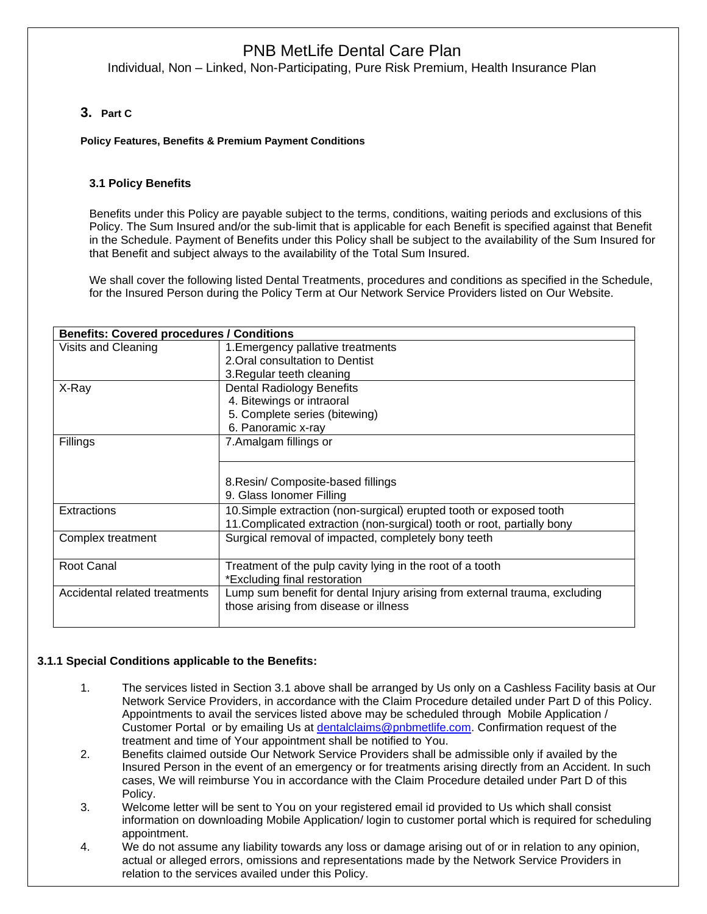Individual, Non – Linked, Non-Participating, Pure Risk Premium, Health Insurance Plan

## **3. Part C**

I

### **Policy Features, Benefits & Premium Payment Conditions**

## **3.1 Policy Benefits**

Benefits under this Policy are payable subject to the terms, conditions, waiting periods and exclusions of this Policy. The Sum Insured and/or the sub-limit that is applicable for each Benefit is specified against that Benefit in the Schedule. Payment of Benefits under this Policy shall be subject to the availability of the Sum Insured for that Benefit and subject always to the availability of the Total Sum Insured.

We shall cover the following listed Dental Treatments, procedures and conditions as specified in the Schedule, for the Insured Person during the Policy Term at Our Network Service Providers listed on Our Website.

| <b>Benefits: Covered procedures / Conditions</b> |                                                                            |  |  |  |
|--------------------------------------------------|----------------------------------------------------------------------------|--|--|--|
| Visits and Cleaning                              | 1. Emergency pallative treatments                                          |  |  |  |
|                                                  | 2. Oral consultation to Dentist                                            |  |  |  |
|                                                  | 3. Regular teeth cleaning                                                  |  |  |  |
| X-Ray                                            | <b>Dental Radiology Benefits</b>                                           |  |  |  |
|                                                  | 4. Bitewings or intraoral                                                  |  |  |  |
|                                                  | 5. Complete series (bitewing)                                              |  |  |  |
|                                                  | 6. Panoramic x-ray                                                         |  |  |  |
| Fillings                                         | 7. Amalgam fillings or                                                     |  |  |  |
|                                                  |                                                                            |  |  |  |
|                                                  |                                                                            |  |  |  |
|                                                  | 8. Resin/ Composite-based fillings                                         |  |  |  |
|                                                  | 9. Glass Ionomer Filling                                                   |  |  |  |
| Extractions                                      | 10. Simple extraction (non-surgical) erupted tooth or exposed tooth        |  |  |  |
|                                                  | 11. Complicated extraction (non-surgical) tooth or root, partially bony    |  |  |  |
| Complex treatment                                | Surgical removal of impacted, completely bony teeth                        |  |  |  |
|                                                  |                                                                            |  |  |  |
| Root Canal                                       | Treatment of the pulp cavity lying in the root of a tooth                  |  |  |  |
|                                                  | *Excluding final restoration                                               |  |  |  |
| Accidental related treatments                    | Lump sum benefit for dental Injury arising from external trauma, excluding |  |  |  |
|                                                  | those arising from disease or illness                                      |  |  |  |
|                                                  |                                                                            |  |  |  |

## **3.1.1 Special Conditions applicable to the Benefits:**

- 1. The services listed in Section 3.1 above shall be arranged by Us only on a Cashless Facility basis at Our Network Service Providers, in accordance with the Claim Procedure detailed under Part D of this Policy. Appointments to avail the services listed above may be scheduled through Mobile Application / Customer Portal or by emailing Us at [dentalclaims@pnbmetlife.com.](mailto:dentalclaims@pnbmetlife.com) Confirmation request of the treatment and time of Your appointment shall be notified to You.
- 2. Benefits claimed outside Our Network Service Providers shall be admissible only if availed by the Insured Person in the event of an emergency or for treatments arising directly from an Accident. In such cases, We will reimburse You in accordance with the Claim Procedure detailed under Part D of this Policy.
- 3. Welcome letter will be sent to You on your registered email id provided to Us which shall consist information on downloading Mobile Application/ login to customer portal which is required for scheduling appointment.
- 4. We do not assume any liability towards any loss or damage arising out of or in relation to any opinion, actual or alleged errors, omissions and representations made by the Network Service Providers in relation to the services availed under this Policy.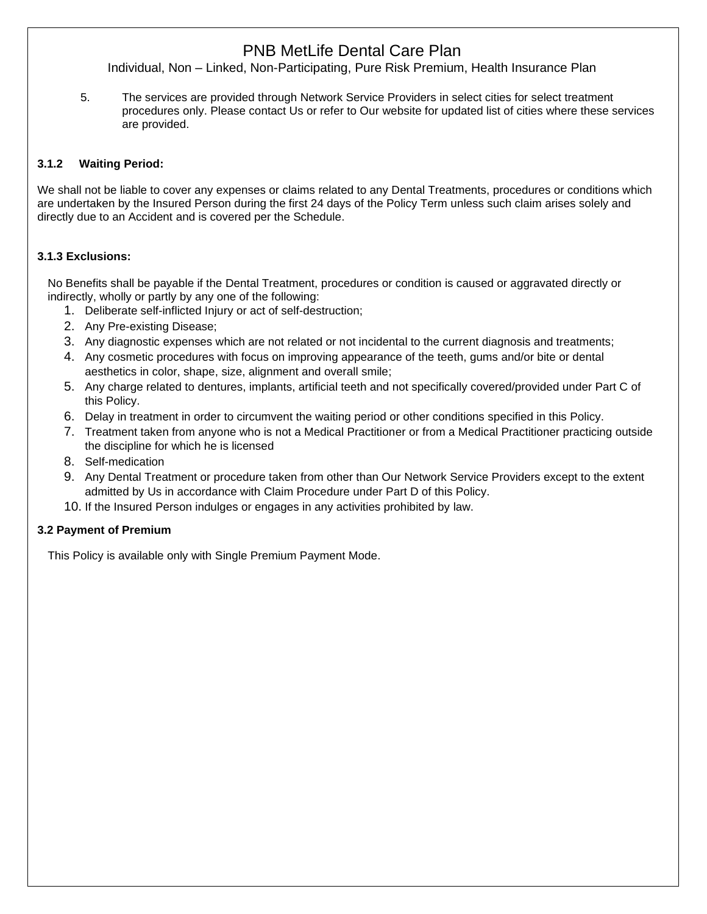Individual, Non – Linked, Non-Participating, Pure Risk Premium, Health Insurance Plan

5. The services are provided through Network Service Providers in select cities for select treatment procedures only. Please contact Us or refer to Our website for updated list of cities where these services are provided.

## **3.1.2 Waiting Period:**

We shall not be liable to cover any expenses or claims related to any Dental Treatments, procedures or conditions which are undertaken by the Insured Person during the first 24 days of the Policy Term unless such claim arises solely and directly due to an Accident and is covered per the Schedule.

## **3.1.3 Exclusions:**

No Benefits shall be payable if the Dental Treatment, procedures or condition is caused or aggravated directly or indirectly, wholly or partly by any one of the following:

- 1. Deliberate self-inflicted Injury or act of self-destruction;
- 2. Any Pre-existing Disease;
- 3. Any diagnostic expenses which are not related or not incidental to the current diagnosis and treatments;
- 4. Any cosmetic procedures with focus on improving appearance of the teeth, gums and/or bite or dental aesthetics in color, shape, size, alignment and overall smile;
- 5. Any charge related to dentures, implants, artificial teeth and not specifically covered/provided under Part C of this Policy.
- 6. Delay in treatment in order to circumvent the waiting period or other conditions specified in this Policy.
- 7. Treatment taken from anyone who is not a Medical Practitioner or from a Medical Practitioner practicing outside the discipline for which he is licensed
- 8. Self-medication
- 9. Any Dental Treatment or procedure taken from other than Our Network Service Providers except to the extent admitted by Us in accordance with Claim Procedure under Part D of this Policy.
- 10. If the Insured Person indulges or engages in any activities prohibited by law.

# **3.2 Payment of Premium**

This Policy is available only with Single Premium Payment Mode.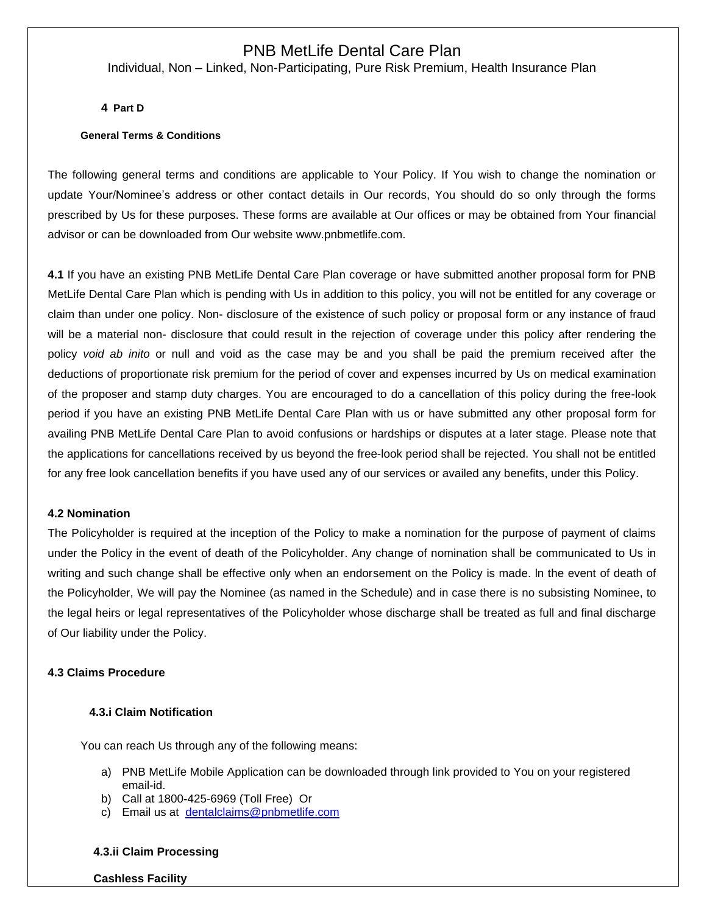Individual, Non – Linked, Non-Participating, Pure Risk Premium, Health Insurance Plan

**4 Part D**

### **General Terms & Conditions**

The following general terms and conditions are applicable to Your Policy. If You wish to change the nomination or update Your/Nominee's address or other contact details in Our records, You should do so only through the forms prescribed by Us for these purposes. These forms are available at Our offices or may be obtained from Your financial advisor or can be downloaded from Our website [www.pnbmetlife.com.](http://www.pnbmetlife.com/)

**4.1** If you have an existing PNB MetLife Dental Care Plan coverage or have submitted another proposal form for PNB MetLife Dental Care Plan which is pending with Us in addition to this policy, you will not be entitled for any coverage or claim than under one policy. Non- disclosure of the existence of such policy or proposal form or any instance of fraud will be a material non- disclosure that could result in the rejection of coverage under this policy after rendering the policy *void ab inito* or null and void as the case may be and you shall be paid the premium received after the deductions of proportionate risk premium for the period of cover and expenses incurred by Us on medical examination of the proposer and stamp duty charges. You are encouraged to do a cancellation of this policy during the free-look period if you have an existing PNB MetLife Dental Care Plan with us or have submitted any other proposal form for availing PNB MetLife Dental Care Plan to avoid confusions or hardships or disputes at a later stage. Please note that the applications for cancellations received by us beyond the free-look period shall be rejected. You shall not be entitled for any free look cancellation benefits if you have used any of our services or availed any benefits, under this Policy.

### **4.2 Nomination**

The Policyholder is required at the inception of the Policy to make a nomination for the purpose of payment of claims under the Policy in the event of death of the Policyholder. Any change of nomination shall be communicated to Us in writing and such change shall be effective only when an endorsement on the Policy is made. ln the event of death of the Policyholder, We will pay the Nominee (as named in the Schedule) and in case there is no subsisting Nominee, to the legal heirs or legal representatives of the Policyholder whose discharge shall be treated as full and final discharge of Our liability under the Policy.

### **4.3 Claims Procedure**

## **4.3.i Claim Notification**

You can reach Us through any of the following means:

- a) PNB MetLife Mobile Application can be downloaded through link provided to You on your registered email-id.
- b) Call at 1800**-**425-6969 (Toll Free) Or
- c) Email us at [dentalclaims@pnbmetlife.com](mailto:dentalclaims@pnbmetlife.com)

#### **4.3.ii Claim Processing**

#### **Cashless Facility**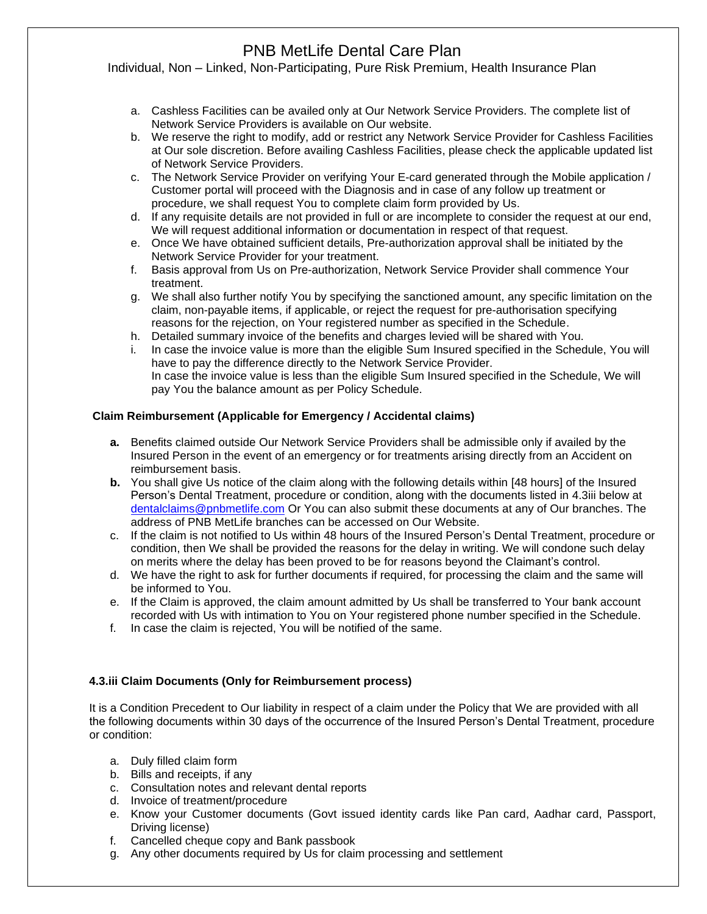Individual, Non – Linked, Non-Participating, Pure Risk Premium, Health Insurance Plan

- a. Cashless Facilities can be availed only at Our Network Service Providers. The complete list of Network Service Providers is available on Our website.
- b. We reserve the right to modify, add or restrict any Network Service Provider for Cashless Facilities at Our sole discretion. Before availing Cashless Facilities, please check the applicable updated list of Network Service Providers.
- c. The Network Service Provider on verifying Your E-card generated through the Mobile application / Customer portal will proceed with the Diagnosis and in case of any follow up treatment or procedure, we shall request You to complete claim form provided by Us.
- d. If any requisite details are not provided in full or are incomplete to consider the request at our end, We will request additional information or documentation in respect of that request.
- e. Once We have obtained sufficient details, Pre-authorization approval shall be initiated by the Network Service Provider for your treatment.
- f. Basis approval from Us on Pre-authorization, Network Service Provider shall commence Your treatment.
- g. We shall also further notify You by specifying the sanctioned amount, any specific limitation on the claim, non-payable items, if applicable, or reject the request for pre-authorisation specifying reasons for the rejection, on Your registered number as specified in the Schedule.
- h. Detailed summary invoice of the benefits and charges levied will be shared with You.
- i. In case the invoice value is more than the eligible Sum Insured specified in the Schedule, You will have to pay the difference directly to the Network Service Provider. In case the invoice value is less than the eligible Sum Insured specified in the Schedule, We will pay You the balance amount as per Policy Schedule.

### **Claim Reimbursement (Applicable for Emergency / Accidental claims)**

- **a.** Benefits claimed outside Our Network Service Providers shall be admissible only if availed by the Insured Person in the event of an emergency or for treatments arising directly from an Accident on reimbursement basis.
- **b.** You shall give Us notice of the claim along with the following details within [48 hours] of the Insured Person's Dental Treatment, procedure or condition, along with the documents listed in 4.3iii below at [dentalclaims@pnbmetlife.com](mailto:dentalclaims@pnbmetlife.com) Or You can also submit these documents at any of Our branches. The address of PNB MetLife branches can be accessed on Our Website.
- c. If the claim is not notified to Us within 48 hours of the Insured Person's Dental Treatment, procedure or condition, then We shall be provided the reasons for the delay in writing. We will condone such delay on merits where the delay has been proved to be for reasons beyond the Claimant's control.
- d. We have the right to ask for further documents if required, for processing the claim and the same will be informed to You.
- e. If the Claim is approved, the claim amount admitted by Us shall be transferred to Your bank account recorded with Us with intimation to You on Your registered phone number specified in the Schedule.
- f. In case the claim is rejected, You will be notified of the same.

## **4.3.iii Claim Documents (Only for Reimbursement process)**

It is a Condition Precedent to Our liability in respect of a claim under the Policy that We are provided with all the following documents within 30 days of the occurrence of the Insured Person's Dental Treatment, procedure or condition:

- a. Duly filled claim form
- b. Bills and receipts, if any
- c. Consultation notes and relevant dental reports
- d. Invoice of treatment/procedure
- e. Know your Customer documents (Govt issued identity cards like Pan card, Aadhar card, Passport, Driving license)
- f. Cancelled cheque copy and Bank passbook
- g. Any other documents required by Us for claim processing and settlement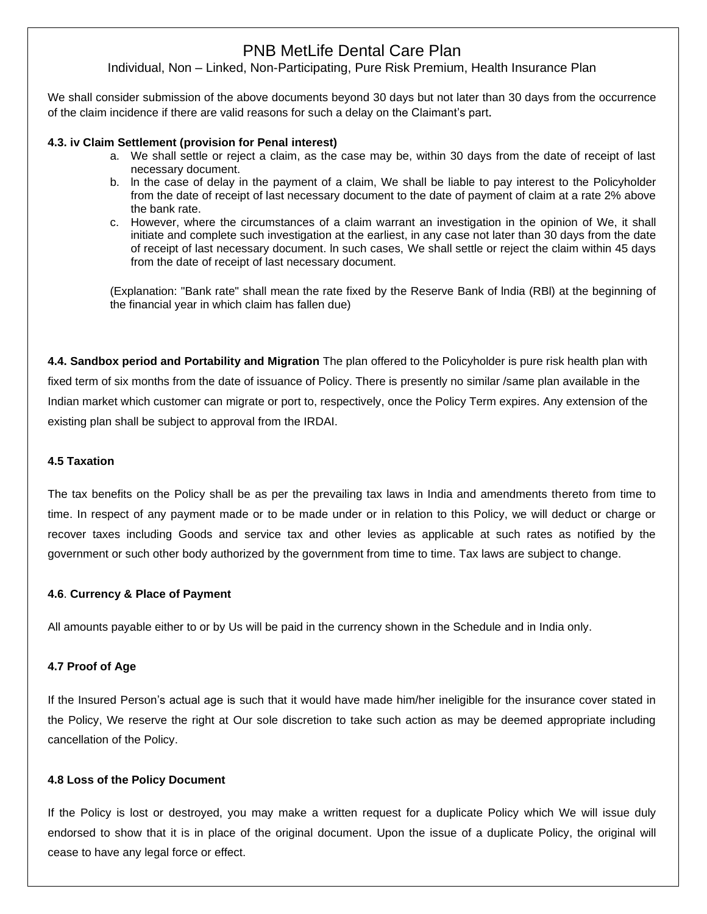Individual, Non – Linked, Non-Participating, Pure Risk Premium, Health Insurance Plan

We shall consider submission of the above documents beyond 30 days but not later than 30 days from the occurrence of the claim incidence if there are valid reasons for such a delay on the Claimant's part.

### **4.3. iv Claim Settlement (provision for Penal interest)**

- a. We shall settle or reject a claim, as the case may be, within 30 days from the date of receipt of last necessary document.
- b. ln the case of delay in the payment of a claim, We shall be liable to pay interest to the Policyholder from the date of receipt of last necessary document to the date of payment of claim at a rate 2% above the bank rate.
- c. However, where the circumstances of a claim warrant an investigation in the opinion of We, it shall initiate and complete such investigation at the earliest, in any case not later than 30 days from the date of receipt of last necessary document. ln such cases, We shall settle or reject the claim within 45 days from the date of receipt of last necessary document.

(Explanation: "Bank rate" shall mean the rate fixed by the Reserve Bank of lndia (RBl) at the beginning of the financial year in which claim has fallen due)

**4.4. Sandbox period and Portability and Migration** The plan offered to the Policyholder is pure risk health plan with fixed term of six months from the date of issuance of Policy. There is presently no similar /same plan available in the Indian market which customer can migrate or port to, respectively, once the Policy Term expires. Any extension of the existing plan shall be subject to approval from the IRDAI.

### **4.5 Taxation**

The tax benefits on the Policy shall be as per the prevailing tax laws in India and amendments thereto from time to time. In respect of any payment made or to be made under or in relation to this Policy, we will deduct or charge or recover taxes including Goods and service tax and other levies as applicable at such rates as notified by the government or such other body authorized by the government from time to time. Tax laws are subject to change.

## **4.6**. **Currency & Place of Payment**

All amounts payable either to or by Us will be paid in the currency shown in the Schedule and in India only.

## **4.7 Proof of Age**

If the Insured Person's actual age is such that it would have made him/her ineligible for the insurance cover stated in the Policy, We reserve the right at Our sole discretion to take such action as may be deemed appropriate including cancellation of the Policy.

## **4.8 Loss of the Policy Document**

If the Policy is lost or destroyed, you may make a written request for a duplicate Policy which We will issue duly endorsed to show that it is in place of the original document. Upon the issue of a duplicate Policy, the original will cease to have any legal force or effect.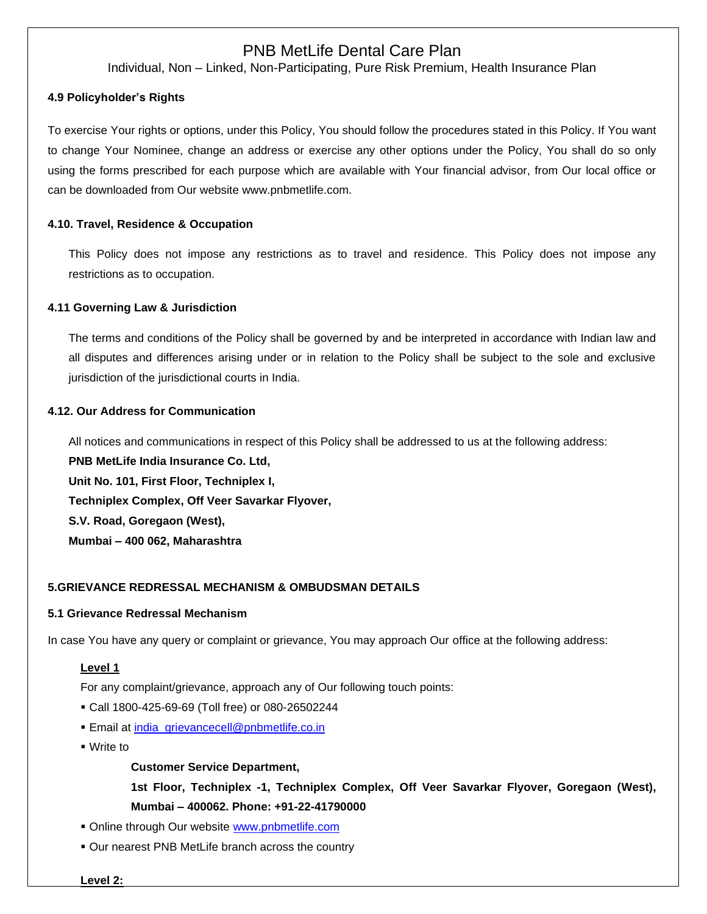Individual, Non – Linked, Non-Participating, Pure Risk Premium, Health Insurance Plan

## **4.9 Policyholder's Rights**

To exercise Your rights or options, under this Policy, You should follow the procedures stated in this Policy. If You want to change Your Nominee, change an address or exercise any other options under the Policy, You shall do so only using the forms prescribed for each purpose which are available with Your financial advisor, from Our local office or can be downloaded from Our website [www.pnbmetlife.com.](http://www.pnbmetlife.com/)

## **4.10. Travel, Residence & Occupation**

This Policy does not impose any restrictions as to travel and residence. This Policy does not impose any restrictions as to occupation.

### **4.11 Governing Law & Jurisdiction**

The terms and conditions of the Policy shall be governed by and be interpreted in accordance with Indian law and all disputes and differences arising under or in relation to the Policy shall be subject to the sole and exclusive jurisdiction of the jurisdictional courts in India.

### **4.12. Our Address for Communication**

All notices and communications in respect of this Policy shall be addressed to us at the following address:

**PNB MetLife India Insurance Co. Ltd, Unit No. 101, First Floor, Techniplex I, Techniplex Complex, Off Veer Savarkar Flyover, S.V. Road, Goregaon (West), Mumbai – 400 062, Maharashtra**

## **5.GRIEVANCE REDRESSAL MECHANISM & OMBUDSMAN DETAILS**

### **5.1 Grievance Redressal Mechanism**

In case You have any query or complaint or grievance, You may approach Our office at the following address:

## **Level 1**

For any complaint/grievance, approach any of Our following touch points:

- Call 1800-425-69-69 (Toll free) or 080-26502244
- **Email at [india\\_grievancecell@pnbmetlife.co.in](mailto:india_grievancecell@pnbmetlife.co.in)**
- Write to

**Customer Service Department,** 

**1st Floor, Techniplex -1, Techniplex Complex, Off Veer Savarkar Flyover, Goregaon (West), Mumbai – 400062. Phone: +91-22-41790000**

- **Online through Our website [www.pnbmetlife.com](http://www.pnbmetlife.com/)**
- Our nearest PNB MetLife branch across the country

**Level 2:**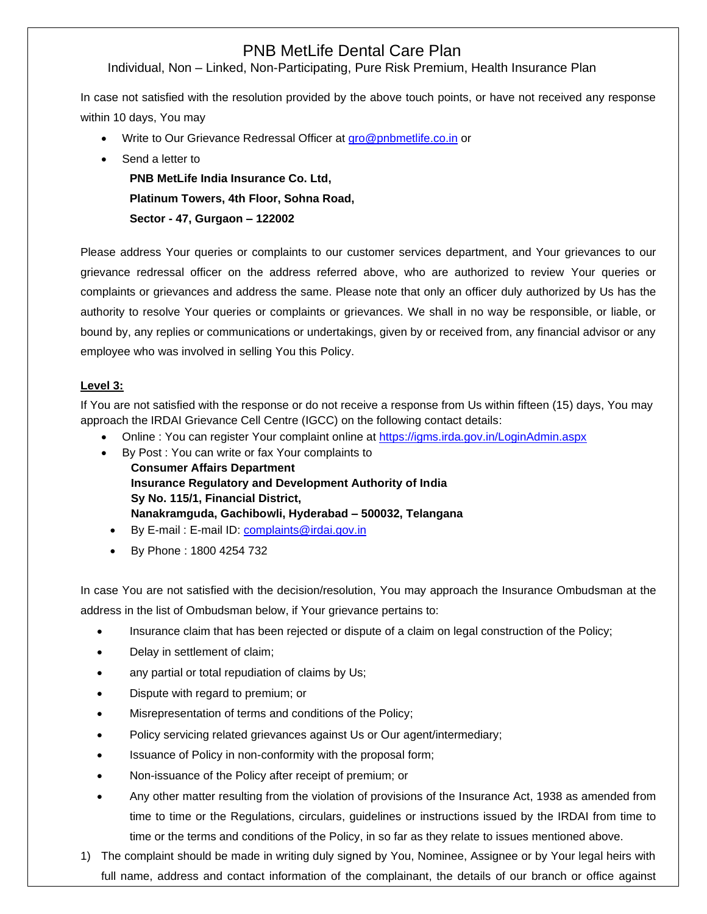Individual, Non – Linked, Non-Participating, Pure Risk Premium, Health Insurance Plan

In case not satisfied with the resolution provided by the above touch points, or have not received any response within 10 days, You may

- Write to Our Grievance Redressal Officer at [gro@pnbmetlife.co.in](mailto:gro@pnbmetlife.co.in) or
- Send a letter to

**PNB MetLife India Insurance Co. Ltd, Platinum Towers, 4th Floor, Sohna Road, Sector - 47, Gurgaon – 122002**

Please address Your queries or complaints to our customer services department, and Your grievances to our grievance redressal officer on the address referred above, who are authorized to review Your queries or complaints or grievances and address the same. Please note that only an officer duly authorized by Us has the authority to resolve Your queries or complaints or grievances. We shall in no way be responsible, or liable, or bound by, any replies or communications or undertakings, given by or received from, any financial advisor or any employee who was involved in selling You this Policy.

## **Level 3:**

If You are not satisfied with the response or do not receive a response from Us within fifteen (15) days, You may approach the IRDAI Grievance Cell Centre (IGCC) on the following contact details:

- Online : You can register Your complaint online at<https://igms.irda.gov.in/>LoginAdmin.aspx
- By Post : You can write or fax Your complaints to **Consumer Affairs Department Insurance Regulatory and Development Authority of India Sy No. 115/1, Financial District, Nanakramguda, Gachibowli, Hyderabad – 500032, Telangana**
	- By E-mail : E-mail ID: [complaints@irdai.gov.in](mailto:complaints@irdai.gov.in)
	- By Phone : 1800 4254 732

In case You are not satisfied with the decision/resolution, You may approach the Insurance Ombudsman at the address in the list of Ombudsman below, if Your grievance pertains to:

- Insurance claim that has been rejected or dispute of a claim on legal construction of the Policy;
- Delay in settlement of claim;
- any partial or total repudiation of claims by Us;
- Dispute with regard to premium; or
- Misrepresentation of terms and conditions of the Policy;
- Policy servicing related grievances against Us or Our agent/intermediary;
- Issuance of Policy in non-conformity with the proposal form;
- Non-issuance of the Policy after receipt of premium; or
- Any other matter resulting from the violation of provisions of the Insurance Act, 1938 as amended from time to time or the Regulations, circulars, guidelines or instructions issued by the IRDAI from time to time or the terms and conditions of the Policy, in so far as they relate to issues mentioned above.
- 1) The complaint should be made in writing duly signed by You, Nominee, Assignee or by Your legal heirs with full name, address and contact information of the complainant, the details of our branch or office against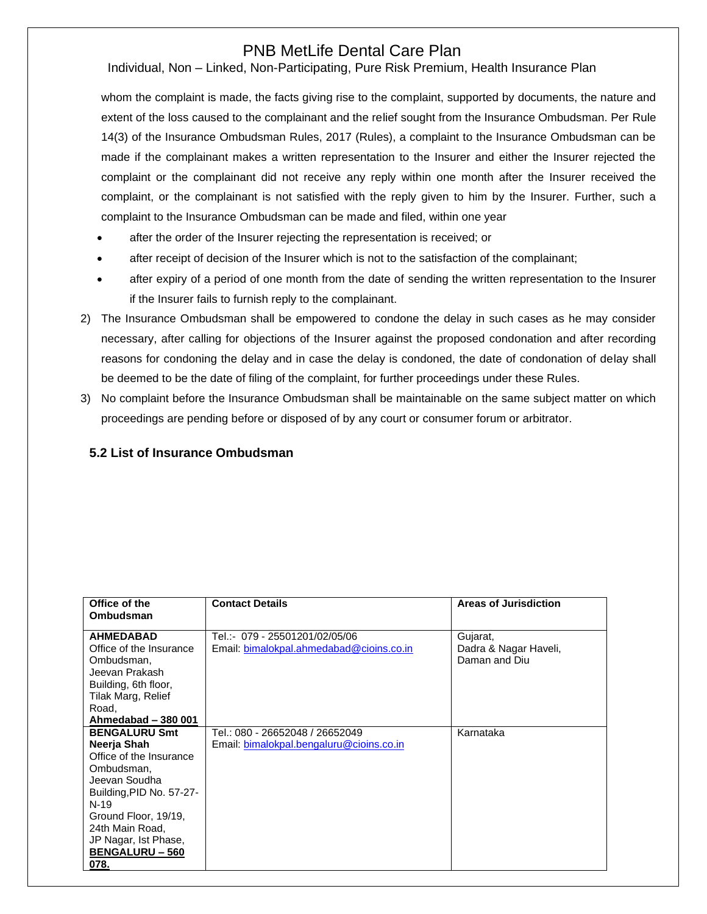Individual, Non – Linked, Non-Participating, Pure Risk Premium, Health Insurance Plan

whom the complaint is made, the facts giving rise to the complaint, supported by documents, the nature and extent of the loss caused to the complainant and the relief sought from the Insurance Ombudsman. Per Rule 14(3) of the Insurance Ombudsman Rules, 2017 (Rules), a complaint to the Insurance Ombudsman can be made if the complainant makes a written representation to the Insurer and either the Insurer rejected the complaint or the complainant did not receive any reply within one month after the Insurer received the complaint, or the complainant is not satisfied with the reply given to him by the Insurer. Further, such a complaint to the Insurance Ombudsman can be made and filed, within one year

- after the order of the Insurer rejecting the representation is received; or
- after receipt of decision of the Insurer which is not to the satisfaction of the complainant;
- after expiry of a period of one month from the date of sending the written representation to the Insurer if the Insurer fails to furnish reply to the complainant.
- 2) The Insurance Ombudsman shall be empowered to condone the delay in such cases as he may consider necessary, after calling for objections of the Insurer against the proposed condonation and after recording reasons for condoning the delay and in case the delay is condoned, the date of condonation of delay shall be deemed to be the date of filing of the complaint, for further proceedings under these Rules.
- 3) No complaint before the Insurance Ombudsman shall be maintainable on the same subject matter on which proceedings are pending before or disposed of by any court or consumer forum or arbitrator.

## **5.2 List of Insurance Ombudsman**

| Office of the<br>Ombudsman                  | <b>Contact Details</b>                   | Areas of Jurisdiction                  |
|---------------------------------------------|------------------------------------------|----------------------------------------|
|                                             |                                          |                                        |
| <b>AHMEDABAD</b><br>Office of the Insurance | Tel.:- 079 - 25501201/02/05/06           | Gujarat,                               |
| Ombudsman,                                  | Email: bimalokpal.ahmedabad@cioins.co.in | Dadra & Nagar Haveli,<br>Daman and Diu |
| Jeevan Prakash                              |                                          |                                        |
| Building, 6th floor,                        |                                          |                                        |
| Tilak Marg, Relief<br>Road,                 |                                          |                                        |
| Ahmedabad - 380 001                         |                                          |                                        |
| <b>BENGALURU Smt</b>                        | Tel.: 080 - 26652048 / 26652049          | Karnataka                              |
| Neerja Shah                                 | Email: bimalokpal.bengaluru@cioins.co.in |                                        |
| Office of the Insurance                     |                                          |                                        |
| Ombudsman,                                  |                                          |                                        |
| Jeevan Soudha                               |                                          |                                        |
| Building, PID No. 57-27-<br>$N-19$          |                                          |                                        |
| Ground Floor, 19/19,                        |                                          |                                        |
| 24th Main Road,                             |                                          |                                        |
| JP Nagar, Ist Phase,                        |                                          |                                        |
| <b>BENGALURU – 560</b>                      |                                          |                                        |
| 078.                                        |                                          |                                        |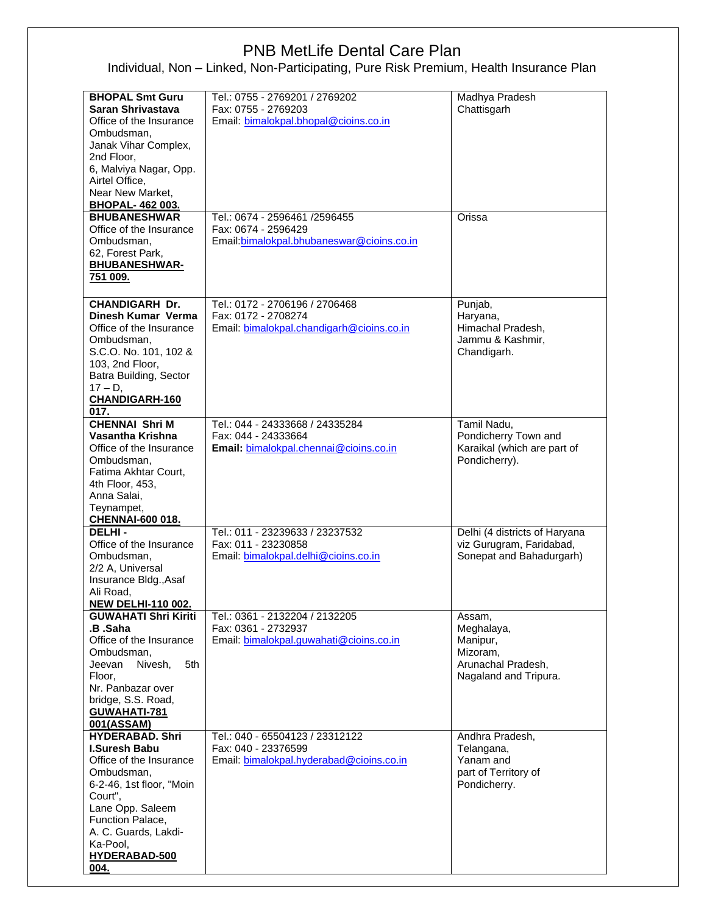| <b>BHOPAL Smt Guru</b><br>Saran Shrivastava<br>Office of the Insurance<br>Ombudsman,<br>Janak Vihar Complex,<br>2nd Floor,<br>6, Malviya Nagar, Opp.                                                                                | Tel.: 0755 - 2769201 / 2769202<br>Fax: 0755 - 2769203<br>Email: bimalokpal.bhopal@cioins.co.in     | Madhya Pradesh<br>Chattisgarh                                                               |
|-------------------------------------------------------------------------------------------------------------------------------------------------------------------------------------------------------------------------------------|----------------------------------------------------------------------------------------------------|---------------------------------------------------------------------------------------------|
| Airtel Office,<br>Near New Market,<br><b>BHOPAL-462003.</b>                                                                                                                                                                         |                                                                                                    |                                                                                             |
| <b>BHUBANESHWAR</b><br>Office of the Insurance<br>Ombudsman,<br>62, Forest Park,<br><b>BHUBANESHWAR-</b><br>751 009.                                                                                                                | Tel.: 0674 - 2596461 /2596455<br>Fax: 0674 - 2596429<br>Email: bimalokpal.bhubaneswar@cioins.co.in | Orissa                                                                                      |
| <b>CHANDIGARH Dr.</b><br>Dinesh Kumar Verma<br>Office of the Insurance<br>Ombudsman,<br>S.C.O. No. 101, 102 &<br>103, 2nd Floor,<br>Batra Building, Sector<br>$17 - D$ ,<br>CHANDIGARH-160<br>017.                                  | Tel.: 0172 - 2706196 / 2706468<br>Fax: 0172 - 2708274<br>Email: bimalokpal.chandigarh@cioins.co.in | Punjab,<br>Haryana,<br>Himachal Pradesh,<br>Jammu & Kashmir,<br>Chandigarh.                 |
| <b>CHENNAI Shri M</b><br>Vasantha Krishna<br>Office of the Insurance<br>Ombudsman,<br>Fatima Akhtar Court,<br>4th Floor, 453,<br>Anna Salai,<br>Teynampet,<br><b>CHENNAI-600 018.</b>                                               | Tel.: 044 - 24333668 / 24335284<br>Fax: 044 - 24333664<br>Email: bimalokpal.chennai@cioins.co.in   | Tamil Nadu,<br>Pondicherry Town and<br>Karaikal (which are part of<br>Pondicherry).         |
| <b>DELHI-</b><br>Office of the Insurance<br>Ombudsman,<br>2/2 A, Universal<br>Insurance Bldg., Asaf<br>Ali Road.<br><b>NEW DELHI-110 002</b>                                                                                        | Tel.: 011 - 23239633 / 23237532<br>Fax: 011 - 23230858<br>Email: bimalokpal.delhi@cioins.co.in     | Delhi (4 districts of Haryana<br>viz Gurugram, Faridabad,<br>Sonepat and Bahadurgarh)       |
| <b>GUWAHATI Shri Kiriti</b><br>.B .Saha<br>Office of the Insurance<br>Ombudsman,<br>Nivesh,<br>5th<br>Jeevan<br>Floor,<br>Nr. Panbazar over<br>bridge, S.S. Road,<br>GUWAHATI-781<br>001(ASSAM)                                     | Tel.: 0361 - 2132204 / 2132205<br>Fax: 0361 - 2732937<br>Email: bimalokpal.guwahati@cioins.co.in   | Assam,<br>Meghalaya,<br>Manipur,<br>Mizoram,<br>Arunachal Pradesh,<br>Nagaland and Tripura. |
| <b>HYDERABAD. Shri</b><br><b>I.Suresh Babu</b><br>Office of the Insurance<br>Ombudsman,<br>6-2-46, 1st floor, "Moin<br>Court",<br>Lane Opp. Saleem<br>Function Palace,<br>A. C. Guards, Lakdi-<br>Ka-Pool,<br>HYDERABAD-500<br>004. | Tel.: 040 - 65504123 / 23312122<br>Fax: 040 - 23376599<br>Email: bimalokpal.hyderabad@cioins.co.in | Andhra Pradesh,<br>Telangana,<br>Yanam and<br>part of Territory of<br>Pondicherry.          |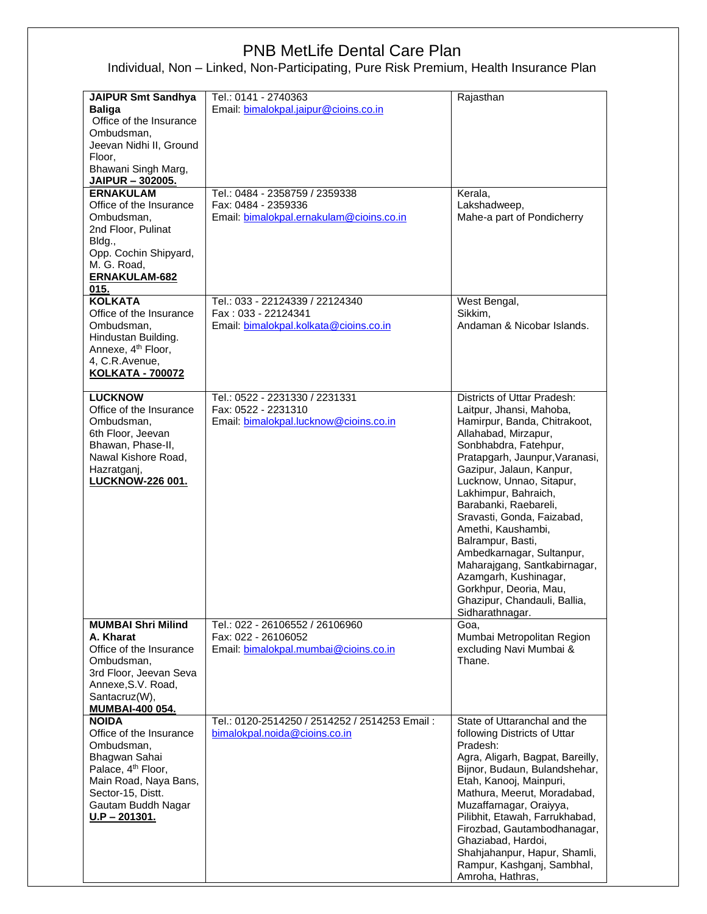| <b>JAIPUR Smt Sandhya</b><br><b>Baliga</b><br>Office of the Insurance<br>Ombudsman,<br>Jeevan Nidhi II, Ground<br>Floor,<br>Bhawani Singh Marg,<br>JAIPUR - 302005.                             | Tel.: 0141 - 2740363<br>Email: bimalokpal.jaipur@cioins.co.in                                     | Rajasthan                                                                                                                                                                                                                                                                                                                                                                                                                                                                                                                       |
|-------------------------------------------------------------------------------------------------------------------------------------------------------------------------------------------------|---------------------------------------------------------------------------------------------------|---------------------------------------------------------------------------------------------------------------------------------------------------------------------------------------------------------------------------------------------------------------------------------------------------------------------------------------------------------------------------------------------------------------------------------------------------------------------------------------------------------------------------------|
|                                                                                                                                                                                                 |                                                                                                   |                                                                                                                                                                                                                                                                                                                                                                                                                                                                                                                                 |
| <b>ERNAKULAM</b><br>Office of the Insurance<br>Ombudsman,<br>2nd Floor, Pulinat<br>Bldg.,<br>Opp. Cochin Shipyard,<br>M. G. Road,<br>ERNAKULAM-682<br>015.                                      | Tel.: 0484 - 2358759 / 2359338<br>Fax: 0484 - 2359336<br>Email: bimalokpal.ernakulam@cioins.co.in | Kerala,<br>Lakshadweep,<br>Mahe-a part of Pondicherry                                                                                                                                                                                                                                                                                                                                                                                                                                                                           |
| <b>KOLKATA</b>                                                                                                                                                                                  | Tel.: 033 - 22124339 / 22124340                                                                   | West Bengal,                                                                                                                                                                                                                                                                                                                                                                                                                                                                                                                    |
| Office of the Insurance<br>Ombudsman,<br>Hindustan Building.<br>Annexe, 4 <sup>th</sup> Floor,<br>4, C.R.Avenue,<br><b>KOLKATA - 700072</b>                                                     | Fax: 033 - 22124341<br>Email: bimalokpal.kolkata@cioins.co.in                                     | Sikkim.<br>Andaman & Nicobar Islands.                                                                                                                                                                                                                                                                                                                                                                                                                                                                                           |
|                                                                                                                                                                                                 |                                                                                                   |                                                                                                                                                                                                                                                                                                                                                                                                                                                                                                                                 |
| <b>LUCKNOW</b><br>Office of the Insurance<br>Ombudsman,<br>6th Floor, Jeevan<br>Bhawan, Phase-II,<br>Nawal Kishore Road,<br>Hazratganj,<br><b>LUCKNOW-226 001.</b>                              | Tel.: 0522 - 2231330 / 2231331<br>Fax: 0522 - 2231310<br>Email: bimalokpal.lucknow@cioins.co.in   | Districts of Uttar Pradesh:<br>Laitpur, Jhansi, Mahoba,<br>Hamirpur, Banda, Chitrakoot,<br>Allahabad, Mirzapur,<br>Sonbhabdra, Fatehpur,<br>Pratapgarh, Jaunpur, Varanasi,<br>Gazipur, Jalaun, Kanpur,<br>Lucknow, Unnao, Sitapur,<br>Lakhimpur, Bahraich,<br>Barabanki, Raebareli,<br>Sravasti, Gonda, Faizabad,<br>Amethi, Kaushambi,<br>Balrampur, Basti,<br>Ambedkarnagar, Sultanpur,<br>Maharajgang, Santkabirnagar,<br>Azamgarh, Kushinagar,<br>Gorkhpur, Deoria, Mau,<br>Ghazipur, Chandauli, Ballia,<br>Sidharathnagar. |
| <b>MUMBAI Shri Milind</b>                                                                                                                                                                       | Tel.: 022 - 26106552 / 26106960                                                                   | Goa,                                                                                                                                                                                                                                                                                                                                                                                                                                                                                                                            |
| A. Kharat<br>Office of the Insurance<br>Ombudsman,<br>3rd Floor, Jeevan Seva<br>Annexe, S.V. Road,<br>Santacruz(W),<br><b>MUMBAI-400 054.</b>                                                   | Fax: 022 - 26106052<br>Email: bimalokpal.mumbai@cioins.co.in                                      | Mumbai Metropolitan Region<br>excluding Navi Mumbai &<br>Thane.                                                                                                                                                                                                                                                                                                                                                                                                                                                                 |
| <b>NOIDA</b><br>Office of the Insurance<br>Ombudsman,<br>Bhagwan Sahai<br>Palace, 4 <sup>th</sup> Floor,<br>Main Road, Naya Bans,<br>Sector-15, Distt.<br>Gautam Buddh Nagar<br>$U.P - 201301.$ | Tel.: 0120-2514250 / 2514252 / 2514253 Email:<br>bimalokpal.noida@cioins.co.in                    | State of Uttaranchal and the<br>following Districts of Uttar<br>Pradesh:<br>Agra, Aligarh, Bagpat, Bareilly,<br>Bijnor, Budaun, Bulandshehar,<br>Etah, Kanooj, Mainpuri,<br>Mathura, Meerut, Moradabad,<br>Muzaffarnagar, Oraiyya,<br>Pilibhit, Etawah, Farrukhabad,<br>Firozbad, Gautambodhanagar,<br>Ghaziabad, Hardoi,<br>Shahjahanpur, Hapur, Shamli,<br>Rampur, Kashganj, Sambhal,<br>Amroha, Hathras,                                                                                                                     |